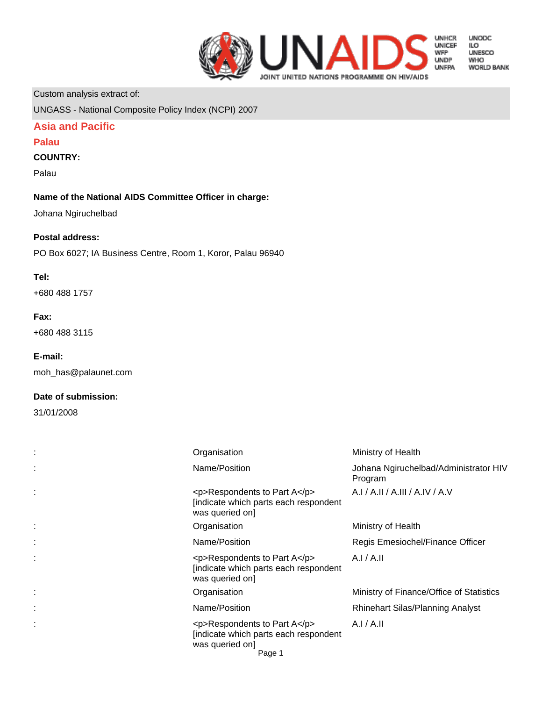

**UNODC** LO<br>ILO<br>UNESCO **WHO WORLD BANK** 

Custom analysis extract of:

UNGASS - National Composite Policy Index (NCPI) 2007

# **Asia and Pacific**

# **Palau**

# **COUNTRY:**

Palau

## **Name of the National AIDS Committee Officer in charge:**

Johana Ngiruchelbad

# **Postal address:**

PO Box 6027; IA Business Centre, Room 1, Koror, Palau 96940

# **Tel:**

+680 488 1757

## **Fax:**

+680 488 3115

## **E-mail:**

moh\_has@palaunet.com

## **Date of submission:**

31/01/2008

| Organisation                                                                                              | Ministry of Health                               |
|-----------------------------------------------------------------------------------------------------------|--------------------------------------------------|
| Name/Position                                                                                             | Johana Ngiruchelbad/Administrator HIV<br>Program |
| <p>Respondents to Part A</p><br>[indicate which parts each respondent<br>was queried on]                  | A.I / A.II / A.III / A.IV / A.V                  |
| Organisation                                                                                              | Ministry of Health                               |
| Name/Position                                                                                             | Regis Emesiochel/Finance Officer                 |
| $<$ p>Respondents to Part A $<$ /p><br>[indicate which parts each respondent<br>was queried on]           | A.I/A.II                                         |
| Organisation                                                                                              | Ministry of Finance/Office of Statistics         |
| Name/Position                                                                                             | <b>Rhinehart Silas/Planning Analyst</b>          |
| $<$ p>Respondents to Part A $<$ /p><br>[indicate which parts each respondent<br>was queried on]<br>Page 1 | A.I/A.II                                         |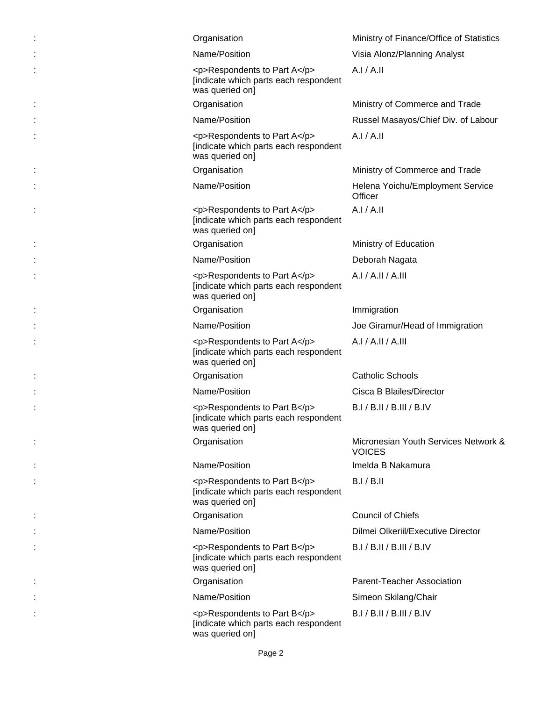| Organisation                                                                             | Ministry of Finance/Office of Statistics              |
|------------------------------------------------------------------------------------------|-------------------------------------------------------|
| Name/Position                                                                            | Visia Alonz/Planning Analyst                          |
| <p>Respondents to Part A</p><br>[indicate which parts each respondent<br>was queried on] | A.I/A.II                                              |
| Organisation                                                                             | Ministry of Commerce and Trade                        |
| Name/Position                                                                            | Russel Masayos/Chief Div. of Labour                   |
| <p>Respondents to Part A</p><br>[indicate which parts each respondent<br>was queried on] | A.I/A.II                                              |
| Organisation                                                                             | Ministry of Commerce and Trade                        |
| Name/Position                                                                            | Helena Yoichu/Employment Service<br>Officer           |
| <p>Respondents to Part A</p><br>[indicate which parts each respondent<br>was queried on] | A.I/A.II                                              |
| Organisation                                                                             | Ministry of Education                                 |
| Name/Position                                                                            | Deborah Nagata                                        |
| <p>Respondents to Part A</p><br>[indicate which parts each respondent<br>was queried on] | A.I/A.I.I/A.III                                       |
| Organisation                                                                             | Immigration                                           |
| Name/Position                                                                            | Joe Giramur/Head of Immigration                       |
| <p>Respondents to Part A</p><br>[indicate which parts each respondent<br>was queried on] | A.I / A.II / A.III                                    |
| Organisation                                                                             | <b>Catholic Schools</b>                               |
| Name/Position                                                                            | Cisca B Blailes/Director                              |
| <p>Respondents to Part B</p><br>[indicate which parts each respondent<br>was queried on] | B.I / B.II / B.III / B.IV                             |
| Organisation                                                                             | Micronesian Youth Services Network &<br><b>VOICES</b> |
| Name/Position                                                                            | Imelda B Nakamura                                     |
| <p>Respondents to Part B</p><br>[indicate which parts each respondent<br>was queried on] | B.I/B.II                                              |
| Organisation                                                                             | <b>Council of Chiefs</b>                              |
| Name/Position                                                                            | Dilmei Olkeriil/Executive Director                    |
| <p>Respondents to Part B</p><br>[indicate which parts each respondent<br>was queried on] | B.I/B.II/B.III/B.IV                                   |
| Organisation                                                                             | Parent-Teacher Association                            |
| Name/Position                                                                            | Simeon Skilang/Chair                                  |
| <p>Respondents to Part B</p><br>[indicate which parts each respondent<br>was queried on] | B.I / B.II / B.III / B.IV                             |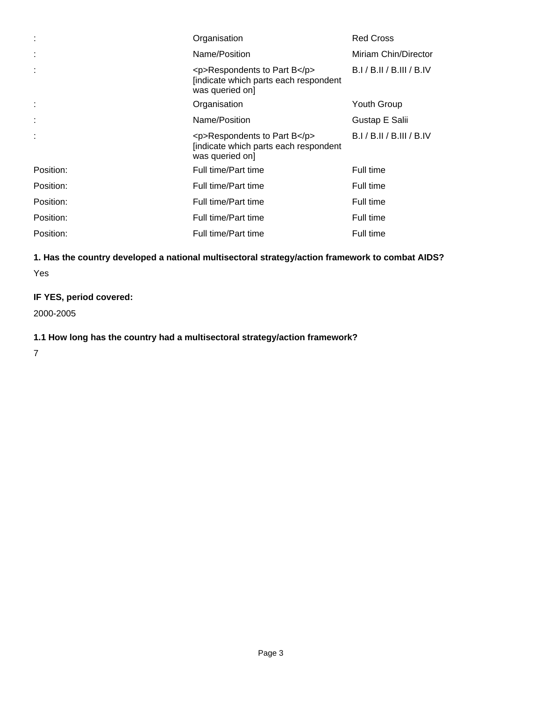| ÷         | Organisation                                                                            | <b>Red Cross</b>     |
|-----------|-----------------------------------------------------------------------------------------|----------------------|
| ÷         | Name/Position                                                                           | Miriam Chin/Director |
| ÷         | <p>Respondents to Part B</p><br>[indicate which parts each respondent<br>was queried on | B.I/B.II/B.III/B.IV  |
| ÷         | Organisation                                                                            | Youth Group          |
| ÷         | Name/Position                                                                           | Gustap E Salii       |
|           | <p>Respondents to Part B</p><br>[indicate which parts each respondent<br>was queried on | B.I/B.II/B.III/B.IV  |
| Position: | Full time/Part time                                                                     | Full time            |
| Position: | Full time/Part time                                                                     | Full time            |
| Position: | Full time/Part time                                                                     | Full time            |
| Position: | Full time/Part time                                                                     | Full time            |
| Position: | Full time/Part time                                                                     | Full time            |

# **1. Has the country developed a national multisectoral strategy/action framework to combat AIDS?** Yes

# **IF YES, period covered:**

2000-2005

# **1.1 How long has the country had a multisectoral strategy/action framework?**

7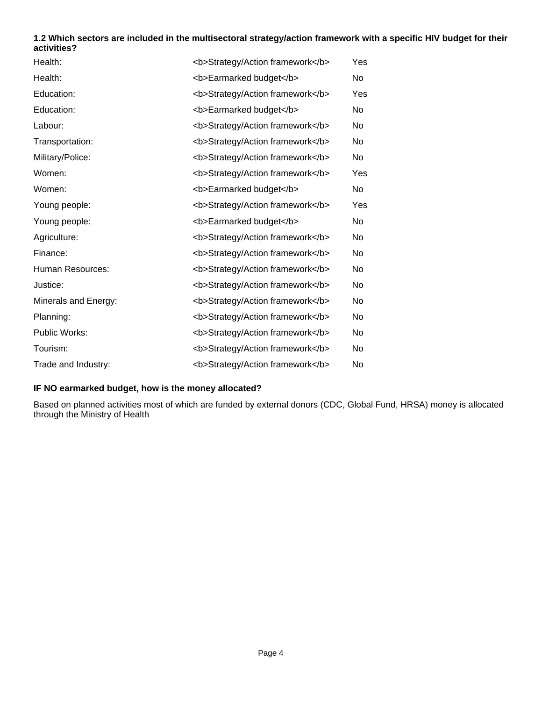# **1.2 Which sectors are included in the multisectoral strategy/action framework with a specific HIV budget for their activities?**

| Health:              | <b>Strategy/Action framework</b> | Yes       |
|----------------------|----------------------------------|-----------|
| Health:              | <b>Earmarked budget</b>          | <b>No</b> |
| Education:           | <b>Strategy/Action framework</b> | Yes       |
| Education:           | <b>Earmarked budget</b>          | No        |
| Labour:              | <b>Strategy/Action framework</b> | No        |
| Transportation:      | <b>Strategy/Action framework</b> | No        |
| Military/Police:     | <b>Strategy/Action framework</b> | No        |
| Women:               | <b>Strategy/Action framework</b> | Yes       |
| Women:               | <b>Earmarked budget</b>          | <b>No</b> |
| Young people:        | <b>Strategy/Action framework</b> | Yes       |
| Young people:        | <b>Earmarked budget</b>          | <b>No</b> |
| Agriculture:         | <b>Strategy/Action framework</b> | No        |
| Finance:             | <b>Strategy/Action framework</b> | No        |
| Human Resources:     | <b>Strategy/Action framework</b> | <b>No</b> |
| Justice:             | <b>Strategy/Action framework</b> | No        |
| Minerals and Energy: | <b>Strategy/Action framework</b> | No        |
| Planning:            | <b>Strategy/Action framework</b> | No        |
| Public Works:        | <b>Strategy/Action framework</b> | <b>No</b> |
| Tourism:             | <b>Strategy/Action framework</b> | No        |
| Trade and Industry:  | <b>Strategy/Action framework</b> | No        |

# **IF NO earmarked budget, how is the money allocated?**

Based on planned activities most of which are funded by external donors (CDC, Global Fund, HRSA) money is allocated through the Ministry of Health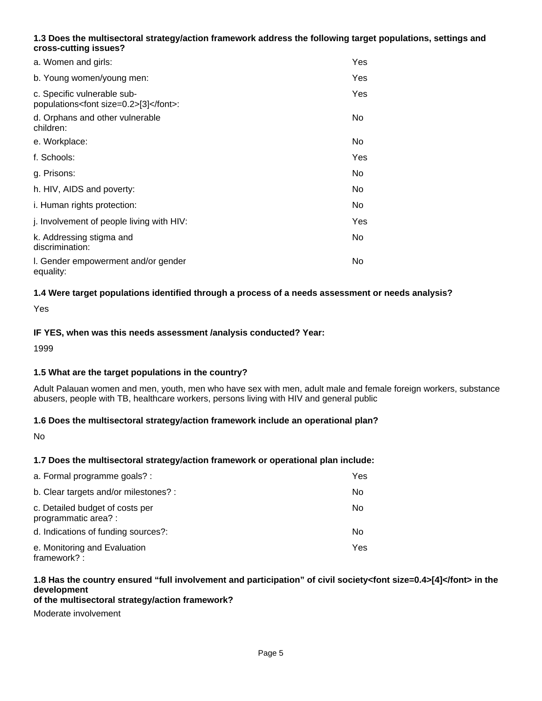# **1.3 Does the multisectoral strategy/action framework address the following target populations, settings and cross-cutting issues?**

| a. Women and girls:                                                      | Yes |
|--------------------------------------------------------------------------|-----|
| b. Young women/young men:                                                | Yes |
| c. Specific vulnerable sub-<br>populations <font size="0.2">[3]</font> : | Yes |
| d. Orphans and other vulnerable<br>children:                             | No  |
| e. Workplace:                                                            | No. |
| f. Schools:                                                              | Yes |
| g. Prisons:                                                              | No. |
| h. HIV, AIDS and poverty:                                                | No. |
| i. Human rights protection:                                              | No. |
| j. Involvement of people living with HIV:                                | Yes |
| k. Addressing stigma and<br>discrimination:                              | No. |
| I. Gender empowerment and/or gender<br>equality:                         | No. |

# **1.4 Were target populations identified through a process of a needs assessment or needs analysis?**

Yes

## **IF YES, when was this needs assessment /analysis conducted? Year:**

1999

## **1.5 What are the target populations in the country?**

Adult Palauan women and men, youth, men who have sex with men, adult male and female foreign workers, substance abusers, people with TB, healthcare workers, persons living with HIV and general public

#### **1.6 Does the multisectoral strategy/action framework include an operational plan?**

No

## **1.7 Does the multisectoral strategy/action framework or operational plan include:**

| a. Formal programme goals? :                            | Yes. |
|---------------------------------------------------------|------|
| b. Clear targets and/or milestones? :                   | No   |
| c. Detailed budget of costs per<br>programmatic area? : | No   |
| d. Indications of funding sources?:                     | No   |
| e. Monitoring and Evaluation<br>framework?:             | Yes. |

# **1.8 Has the country ensured "full involvement and participation" of civil society<font size=0.4>[4]</font> in the development**

#### **of the multisectoral strategy/action framework?**

Moderate involvement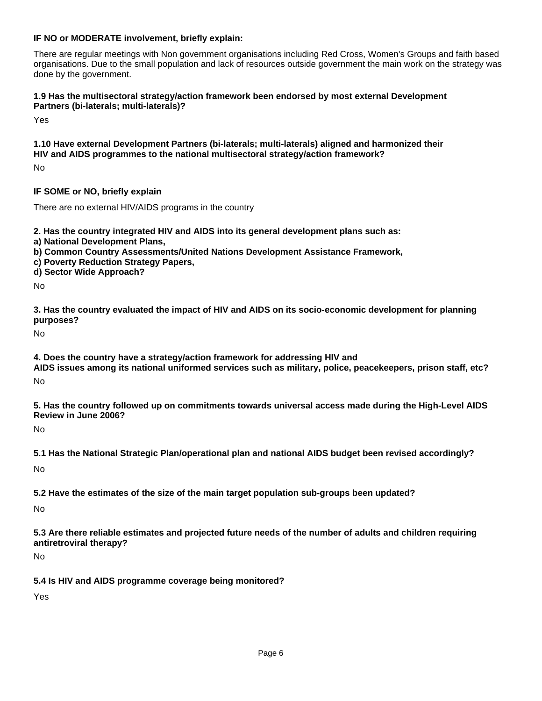## **IF NO or MODERATE involvement, briefly explain:**

There are regular meetings with Non government organisations including Red Cross, Women's Groups and faith based organisations. Due to the small population and lack of resources outside government the main work on the strategy was done by the government.

#### **1.9 Has the multisectoral strategy/action framework been endorsed by most external Development Partners (bi-laterals; multi-laterals)?**

Yes

# **1.10 Have external Development Partners (bi-laterals; multi-laterals) aligned and harmonized their HIV and AIDS programmes to the national multisectoral strategy/action framework?**

No

# **IF SOME or NO, briefly explain**

There are no external HIV/AIDS programs in the country

**2. Has the country integrated HIV and AIDS into its general development plans such as:** 

- **a) National Development Plans,**
- **b) Common Country Assessments/United Nations Development Assistance Framework,**
- **c) Poverty Reduction Strategy Papers,**
- **d) Sector Wide Approach?**

No

**3. Has the country evaluated the impact of HIV and AIDS on its socio-economic development for planning purposes?**

No

**4. Does the country have a strategy/action framework for addressing HIV and AIDS issues among its national uniformed services such as military, police, peacekeepers, prison staff, etc?**

No

**5. Has the country followed up on commitments towards universal access made during the High-Level AIDS Review in June 2006?**

No

**5.1 Has the National Strategic Plan/operational plan and national AIDS budget been revised accordingly?**

No

**5.2 Have the estimates of the size of the main target population sub-groups been updated?**

No

**5.3 Are there reliable estimates and projected future needs of the number of adults and children requiring antiretroviral therapy?**

No

**5.4 Is HIV and AIDS programme coverage being monitored?**

Yes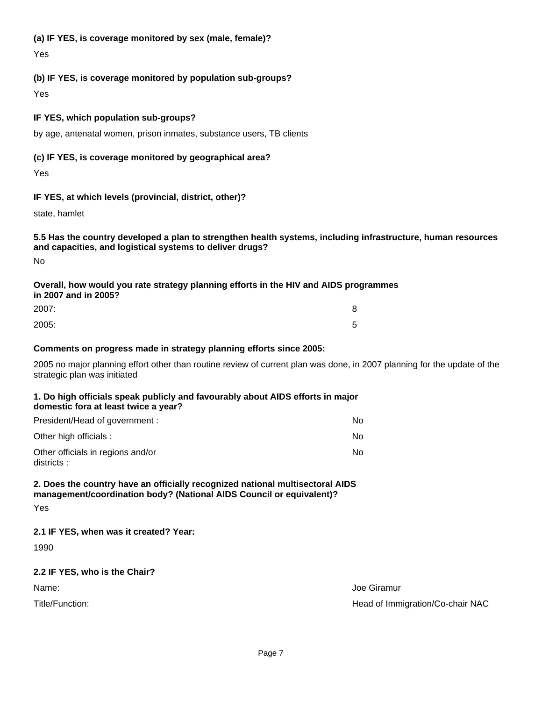## **(a) IF YES, is coverage monitored by sex (male, female)?**

Yes

# **(b) IF YES, is coverage monitored by population sub-groups?**

Yes

# **IF YES, which population sub-groups?**

by age, antenatal women, prison inmates, substance users, TB clients

# **(c) IF YES, is coverage monitored by geographical area?**

Yes

# **IF YES, at which levels (provincial, district, other)?**

state, hamlet

**5.5 Has the country developed a plan to strengthen health systems, including infrastructure, human resources and capacities, and logistical systems to deliver drugs?**

No

# **Overall, how would you rate strategy planning efforts in the HIV and AIDS programmes in 2007 and in 2005?**

| 2007: | 8 |
|-------|---|
| 2005: | 5 |

#### **Comments on progress made in strategy planning efforts since 2005:**

2005 no major planning effort other than routine review of current plan was done, in 2007 planning for the update of the strategic plan was initiated

#### **1. Do high officials speak publicly and favourably about AIDS efforts in major domestic fora at least twice a year?**

| President/Head of government :                   | No. |
|--------------------------------------------------|-----|
| Other high officials :                           | No. |
| Other officials in regions and/or<br>districts : | No. |

# **2. Does the country have an officially recognized national multisectoral AIDS management/coordination body? (National AIDS Council or equivalent)?**

Yes

# **2.1 IF YES, when was it created? Year:**

1990

# **2.2 IF YES, who is the Chair?**

Name: Joe Giramur Name: Joe Giramur Name: Joe Giramur Name: Joe Giramur Name: Joe Giramur Name: Joe Giramur Name

Title/Function: Head of Immigration/Co-chair NAC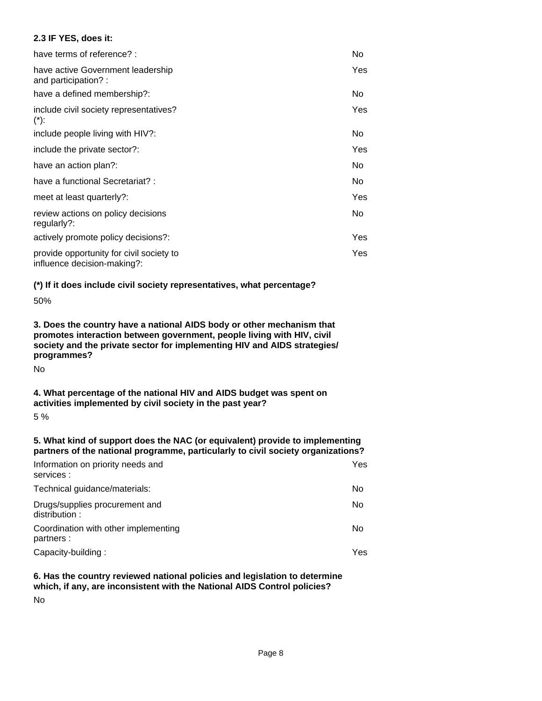## **2.3 IF YES, does it:**

| have terms of reference? :                                              | No.  |
|-------------------------------------------------------------------------|------|
| have active Government leadership<br>and participation?:                | Yes. |
| have a defined membership?:                                             | No.  |
| include civil society representatives?<br>$(*)$ :                       | Yes  |
| include people living with HIV?:                                        | No.  |
| include the private sector?:                                            | Yes  |
| have an action plan?:                                                   | No.  |
| have a functional Secretariat? :                                        | No.  |
| meet at least quarterly?:                                               | Yes  |
| review actions on policy decisions<br>regularly?:                       | No.  |
| actively promote policy decisions?:                                     | Yes. |
| provide opportunity for civil society to<br>influence decision-making?: | Yes. |

## **(\*) If it does include civil society representatives, what percentage?**

50%

**3. Does the country have a national AIDS body or other mechanism that promotes interaction between government, people living with HIV, civil society and the private sector for implementing HIV and AIDS strategies/ programmes?**

No

# **4. What percentage of the national HIV and AIDS budget was spent on activities implemented by civil society in the past year?**

5 %

#### **5. What kind of support does the NAC (or equivalent) provide to implementing partners of the national programme, particularly to civil society organizations?**

| Information on priority needs and<br>services :    |  |  | Yes  |
|----------------------------------------------------|--|--|------|
| Technical guidance/materials:                      |  |  | No   |
| Drugs/supplies procurement and<br>distribution:    |  |  | No   |
| Coordination with other implementing<br>partners : |  |  | No   |
| Capacity-building:                                 |  |  | Yes. |

# **6. Has the country reviewed national policies and legislation to determine which, if any, are inconsistent with the National AIDS Control policies?**

No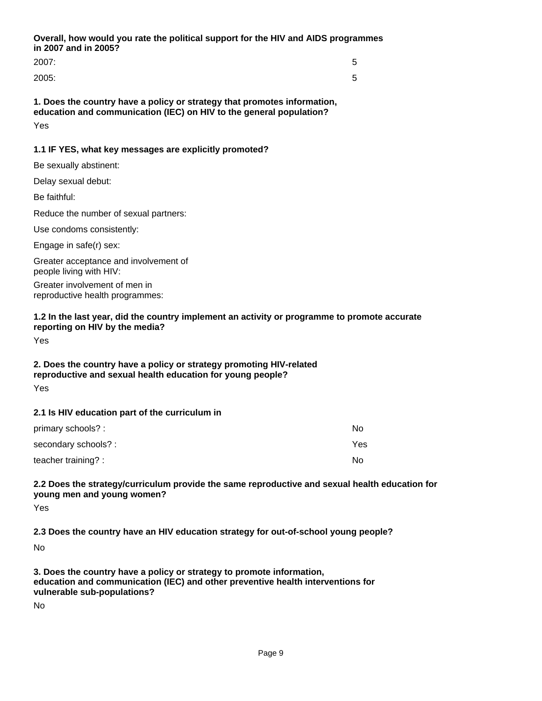**Overall, how would you rate the political support for the HIV and AIDS programmes in 2007 and in 2005?**

2007: 5

2005: 5

**1. Does the country have a policy or strategy that promotes information, education and communication (IEC) on HIV to the general population?**

Yes

# **1.1 IF YES, what key messages are explicitly promoted?**

Be sexually abstinent:

Delay sexual debut:

Be faithful:

Reduce the number of sexual partners:

Use condoms consistently:

Engage in safe(r) sex:

Greater acceptance and involvement of people living with HIV:

Greater involvement of men in reproductive health programmes:

# **1.2 In the last year, did the country implement an activity or programme to promote accurate reporting on HIV by the media?**

Yes

# **2. Does the country have a policy or strategy promoting HIV-related reproductive and sexual health education for young people?**

Yes

## **2.1 Is HIV education part of the curriculum in**

| primary schools? :   | Nο  |
|----------------------|-----|
| secondary schools? : | Yes |
| teacher training? :  | Nο  |

## **2.2 Does the strategy/curriculum provide the same reproductive and sexual health education for young men and young women?**

Yes

**2.3 Does the country have an HIV education strategy for out-of-school young people?**

No

**3. Does the country have a policy or strategy to promote information, education and communication (IEC) and other preventive health interventions for vulnerable sub-populations?**

No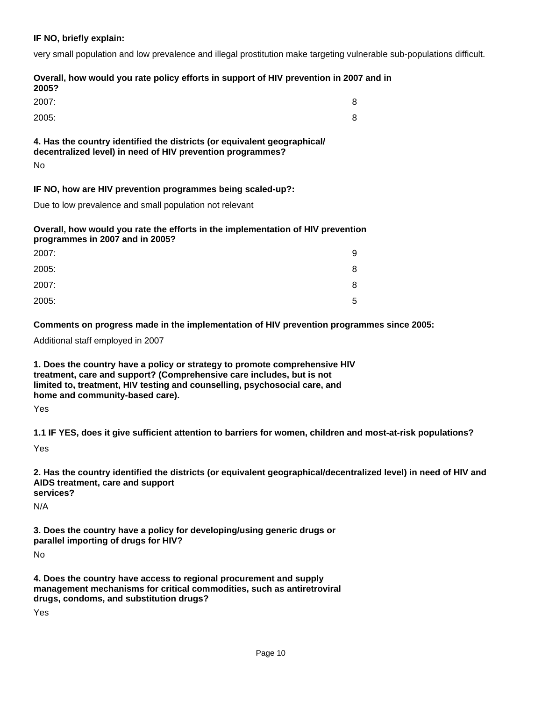#### **IF NO, briefly explain:**

very small population and low prevalence and illegal prostitution make targeting vulnerable sub-populations difficult.

#### **Overall, how would you rate policy efforts in support of HIV prevention in 2007 and in 2005?**

| 2007:                                                                                                                                  |  |
|----------------------------------------------------------------------------------------------------------------------------------------|--|
| 2005:                                                                                                                                  |  |
| 4. Has the country identified the districts (or equivalent geographical/<br>decentralized level) in need of HIV prevention programmes? |  |

No

# **IF NO, how are HIV prevention programmes being scaled-up?:**

Due to low prevalence and small population not relevant

# **Overall, how would you rate the efforts in the implementation of HIV prevention programmes in 2007 and in 2005?**

| 2007: | 9 |
|-------|---|
| 2005: | 8 |
| 2007: | 8 |
| 2005: | 5 |

**Comments on progress made in the implementation of HIV prevention programmes since 2005:**

Additional staff employed in 2007

**1. Does the country have a policy or strategy to promote comprehensive HIV treatment, care and support? (Comprehensive care includes, but is not limited to, treatment, HIV testing and counselling, psychosocial care, and home and community-based care).**

Yes

**1.1 IF YES, does it give sufficient attention to barriers for women, children and most-at-risk populations?**

Yes

**2. Has the country identified the districts (or equivalent geographical/decentralized level) in need of HIV and AIDS treatment, care and support services?**

N/A

**3. Does the country have a policy for developing/using generic drugs or parallel importing of drugs for HIV?**

No

**4. Does the country have access to regional procurement and supply management mechanisms for critical commodities, such as antiretroviral drugs, condoms, and substitution drugs?**

Yes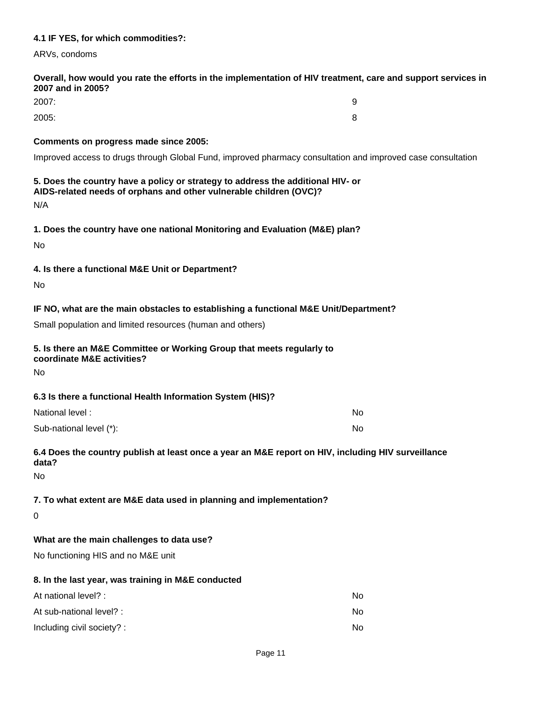## **4.1 IF YES, for which commodities?:**

ARVs, condoms

#### **Overall, how would you rate the efforts in the implementation of HIV treatment, care and support services in 2007 and in 2005?**

| 2007: | 9 |
|-------|---|
| 2005: | 8 |

#### **Comments on progress made since 2005:**

Improved access to drugs through Global Fund, improved pharmacy consultation and improved case consultation

# **5. Does the country have a policy or strategy to address the additional HIV- or AIDS-related needs of orphans and other vulnerable children (OVC)?**

N/A

#### **1. Does the country have one national Monitoring and Evaluation (M&E) plan?**

No

## **4. Is there a functional M&E Unit or Department?**

No

# **IF NO, what are the main obstacles to establishing a functional M&E Unit/Department?**

Small population and limited resources (human and others)

# **5. Is there an M&E Committee or Working Group that meets regularly to**

**coordinate M&E activities?**

No

## **6.3 Is there a functional Health Information System (HIS)?**

| National level:         | No |
|-------------------------|----|
| Sub-national level (*): | No |

# **6.4 Does the country publish at least once a year an M&E report on HIV, including HIV surveillance data?**

No

# **7. To what extent are M&E data used in planning and implementation?**

0

## **What are the main challenges to data use?**

No functioning HIS and no M&E unit

#### **8. In the last year, was training in M&E conducted**

| At national level? :       | No |
|----------------------------|----|
| At sub-national level? :   | No |
| Including civil society? : | N٥ |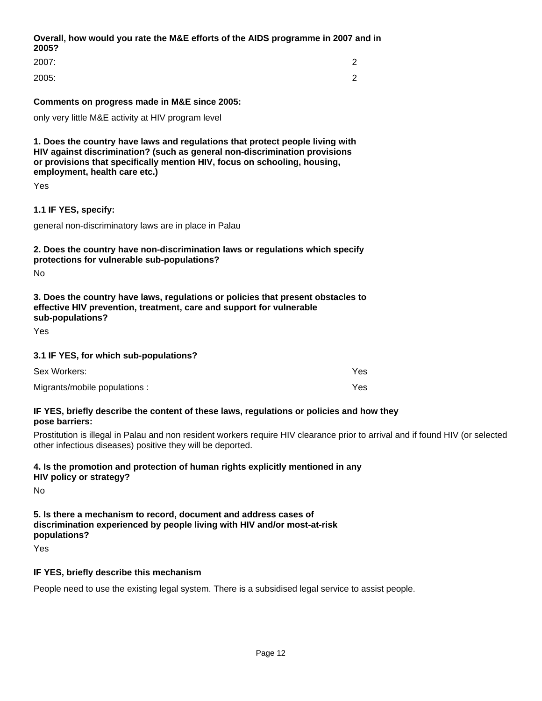# **Overall, how would you rate the M&E efforts of the AIDS programme in 2007 and in 2005?**

| 2007: | ◠<br><u>_</u> |
|-------|---------------|
| 2005: | ◠<br><u>_</u> |

#### **Comments on progress made in M&E since 2005:**

only very little M&E activity at HIV program level

**1. Does the country have laws and regulations that protect people living with HIV against discrimination? (such as general non-discrimination provisions or provisions that specifically mention HIV, focus on schooling, housing, employment, health care etc.)**

Yes

#### **1.1 IF YES, specify:**

general non-discriminatory laws are in place in Palau

#### **2. Does the country have non-discrimination laws or regulations which specify protections for vulnerable sub-populations?**

No

# **3. Does the country have laws, regulations or policies that present obstacles to effective HIV prevention, treatment, care and support for vulnerable sub-populations?**

Yes

#### **3.1 IF YES, for which sub-populations?**

| Sex Workers:                  | Yes |
|-------------------------------|-----|
| Migrants/mobile populations : | Yes |

#### **IF YES, briefly describe the content of these laws, regulations or policies and how they pose barriers:**

Prostitution is illegal in Palau and non resident workers require HIV clearance prior to arrival and if found HIV (or selected other infectious diseases) positive they will be deported.

# **4. Is the promotion and protection of human rights explicitly mentioned in any**

**HIV policy or strategy?**

No

**5. Is there a mechanism to record, document and address cases of discrimination experienced by people living with HIV and/or most-at-risk populations?**

Yes

## **IF YES, briefly describe this mechanism**

People need to use the existing legal system. There is a subsidised legal service to assist people.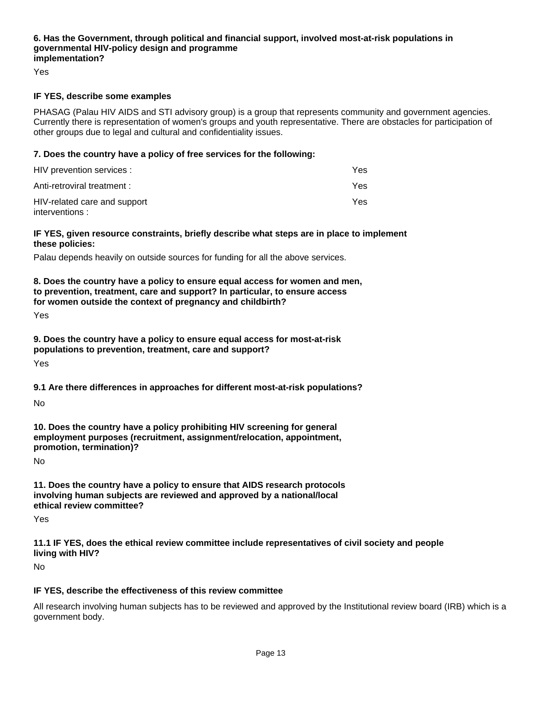#### **6. Has the Government, through political and financial support, involved most-at-risk populations in governmental HIV-policy design and programme implementation?**

Yes

#### **IF YES, describe some examples**

PHASAG (Palau HIV AIDS and STI advisory group) is a group that represents community and government agencies. Currently there is representation of women's groups and youth representative. There are obstacles for participation of other groups due to legal and cultural and confidentiality issues.

#### **7. Does the country have a policy of free services for the following:**

| HIV prevention services :                      | Yes. |
|------------------------------------------------|------|
| Anti-retroviral treatment :                    | Yes. |
| HIV-related care and support<br>interventions: | Yes. |

#### **IF YES, given resource constraints, briefly describe what steps are in place to implement these policies:**

Palau depends heavily on outside sources for funding for all the above services.

**8. Does the country have a policy to ensure equal access for women and men, to prevention, treatment, care and support? In particular, to ensure access for women outside the context of pregnancy and childbirth?**

Yes

**9. Does the country have a policy to ensure equal access for most-at-risk populations to prevention, treatment, care and support?**

Yes

## **9.1 Are there differences in approaches for different most-at-risk populations?**

No

**10. Does the country have a policy prohibiting HIV screening for general employment purposes (recruitment, assignment/relocation, appointment, promotion, termination)?**

No

**11. Does the country have a policy to ensure that AIDS research protocols involving human subjects are reviewed and approved by a national/local ethical review committee?**

Yes

**11.1 IF YES, does the ethical review committee include representatives of civil society and people living with HIV?**

No

## **IF YES, describe the effectiveness of this review committee**

All research involving human subjects has to be reviewed and approved by the Institutional review board (IRB) which is a government body.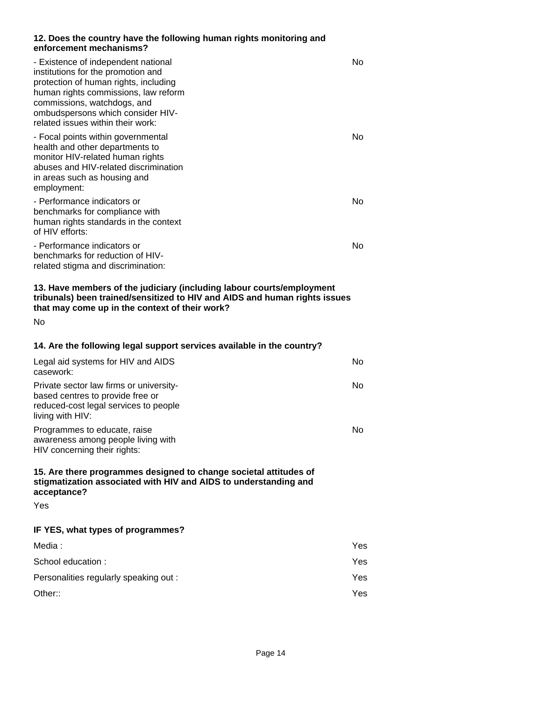#### **12. Does the country have the following human rights monitoring and enforcement mechanisms?**

| - Existence of independent national<br>institutions for the promotion and<br>protection of human rights, including<br>human rights commissions, law reform<br>commissions, watchdogs, and<br>ombudspersons which consider HIV-<br>related issues within their work: | No             |
|---------------------------------------------------------------------------------------------------------------------------------------------------------------------------------------------------------------------------------------------------------------------|----------------|
| - Focal points within governmental<br>health and other departments to<br>monitor HIV-related human rights<br>abuses and HIV-related discrimination<br>in areas such as housing and<br>employment:                                                                   | No             |
| - Performance indicators or<br>benchmarks for compliance with<br>human rights standards in the context<br>of HIV efforts:                                                                                                                                           | N <sub>o</sub> |
| - Performance indicators or<br>benchmarks for reduction of HIV-<br>related stigma and discrimination:                                                                                                                                                               | No             |
| 13. Have members of the judiciary (including labour courts/employment<br>tribunals) been trained/sensitized to HIV and AIDS and human rights issues<br>that may come up in the context of their work?<br><b>No</b>                                                  |                |
| 14. Are the following legal support services available in the country?                                                                                                                                                                                              |                |
| Legal aid systems for HIV and AIDS<br>casework:                                                                                                                                                                                                                     | N <sub>o</sub> |
| Private sector law firms or university-<br>based centres to provide free or<br>reduced-cost legal services to people<br>living with HIV:                                                                                                                            | No.            |
| Programmes to educate, raise<br>awareness among people living with<br>HIV concerning their rights:                                                                                                                                                                  | No             |
| 15. Are there programmes designed to change societal attitudes of<br>stigmatization associated with HIV and AIDS to understanding and<br>acceptance?                                                                                                                |                |
| Yes                                                                                                                                                                                                                                                                 |                |
| IF YES, what types of programmes?                                                                                                                                                                                                                                   |                |
| Media:                                                                                                                                                                                                                                                              | Yes            |
| School education :                                                                                                                                                                                                                                                  | Yes            |
| Personalities regularly speaking out :                                                                                                                                                                                                                              | Yes            |
| Other::                                                                                                                                                                                                                                                             | Yes            |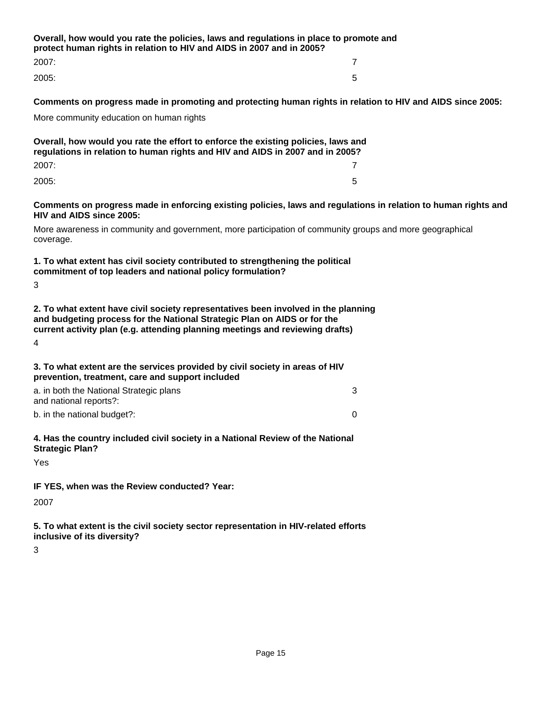**Overall, how would you rate the policies, laws and regulations in place to promote and protect human rights in relation to HIV and AIDS in 2007 and in 2005?** 2007: 7

2005: 5

3

**Comments on progress made in promoting and protecting human rights in relation to HIV and AIDS since 2005:**

More community education on human rights

| Overall, how would you rate the effort to enforce the existing policies, laws and<br>regulations in relation to human rights and HIV and AIDS in 2007 and in 2005? |   |
|--------------------------------------------------------------------------------------------------------------------------------------------------------------------|---|
| 2007:                                                                                                                                                              |   |
| 2005:                                                                                                                                                              | 5 |

**Comments on progress made in enforcing existing policies, laws and regulations in relation to human rights and HIV and AIDS since 2005:**

More awareness in community and government, more participation of community groups and more geographical coverage.

#### **1. To what extent has civil society contributed to strengthening the political commitment of top leaders and national policy formulation?**

3

**2. To what extent have civil society representatives been involved in the planning and budgeting process for the National Strategic Plan on AIDS or for the current activity plan (e.g. attending planning meetings and reviewing drafts)**

4

| 3. To what extent are the services provided by civil society in areas of HIV<br>prevention, treatment, care and support included |
|----------------------------------------------------------------------------------------------------------------------------------|
| a. in both the National Strategic plans                                                                                          |
| and national reports?:                                                                                                           |

b. in the national budget?: 0

#### **4. Has the country included civil society in a National Review of the National Strategic Plan?**

Yes

**IF YES, when was the Review conducted? Year:**

2007

**5. To what extent is the civil society sector representation in HIV-related efforts inclusive of its diversity?**

3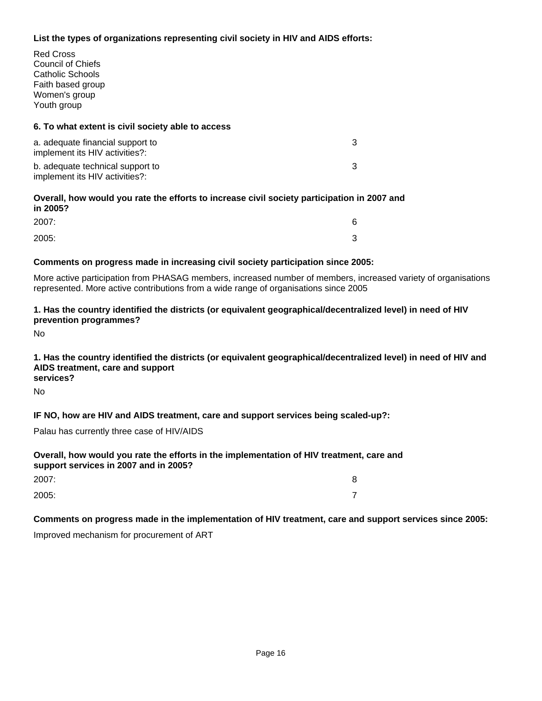# **List the types of organizations representing civil society in HIV and AIDS efforts:**

Red Cross Council of Chiefs Catholic Schools Faith based group Women's group Youth group

## **6. To what extent is civil society able to access**

| a. adequate financial support to<br>implement its HIV activities?: |  |
|--------------------------------------------------------------------|--|
| b. adequate technical support to<br>implement its HIV activities?: |  |

#### **Overall, how would you rate the efforts to increase civil society participation in 2007 and in 2005?**

| 2007: | ∼      |
|-------|--------|
| 2005: | ⌒<br>ັ |

## **Comments on progress made in increasing civil society participation since 2005:**

More active participation from PHASAG members, increased number of members, increased variety of organisations represented. More active contributions from a wide range of organisations since 2005

## **1. Has the country identified the districts (or equivalent geographical/decentralized level) in need of HIV prevention programmes?**

No

#### **1. Has the country identified the districts (or equivalent geographical/decentralized level) in need of HIV and AIDS treatment, care and support services?**

No

# **IF NO, how are HIV and AIDS treatment, care and support services being scaled-up?:**

Palau has currently three case of HIV/AIDS

# **Overall, how would you rate the efforts in the implementation of HIV treatment, care and support services in 2007 and in 2005?**

| 2007: | 8              |
|-------|----------------|
| 2005: | $\overline{ }$ |

# **Comments on progress made in the implementation of HIV treatment, care and support services since 2005:**

Improved mechanism for procurement of ART